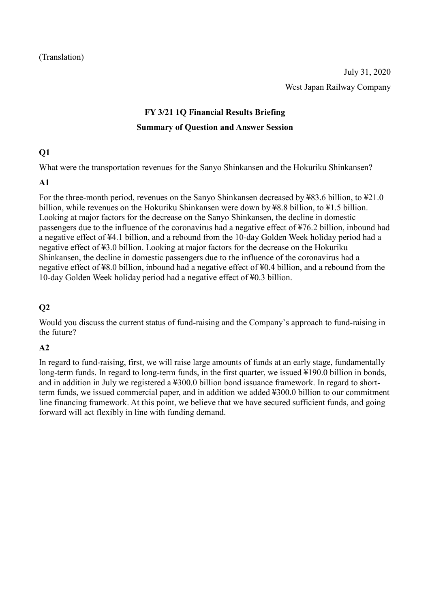# **FY 3/21 1Q Financial Results Briefing Summary of Question and Answer Session**

### **Q1**

What were the transportation revenues for the Sanyo Shinkansen and the Hokuriku Shinkansen?

#### **A1**

For the three-month period, revenues on the Sanyo Shinkansen decreased by ¥83.6 billion, to ¥21.0 billion, while revenues on the Hokuriku Shinkansen were down by ¥8.8 billion, to ¥1.5 billion. Looking at major factors for the decrease on the Sanyo Shinkansen, the decline in domestic passengers due to the influence of the coronavirus had a negative effect of ¥76.2 billion, inbound had a negative effect of ¥4.1 billion, and a rebound from the 10-day Golden Week holiday period had a negative effect of ¥3.0 billion. Looking at major factors for the decrease on the Hokuriku Shinkansen, the decline in domestic passengers due to the influence of the coronavirus had a negative effect of ¥8.0 billion, inbound had a negative effect of ¥0.4 billion, and a rebound from the 10-day Golden Week holiday period had a negative effect of ¥0.3 billion.

# **Q2**

Would you discuss the current status of fund-raising and the Company's approach to fund-raising in the future?

# **A2**

In regard to fund-raising, first, we will raise large amounts of funds at an early stage, fundamentally long-term funds. In regard to long-term funds, in the first quarter, we issued ¥190.0 billion in bonds, and in addition in July we registered a ¥300.0 billion bond issuance framework. In regard to shortterm funds, we issued commercial paper, and in addition we added ¥300.0 billion to our commitment line financing framework. At this point, we believe that we have secured sufficient funds, and going forward will act flexibly in line with funding demand.